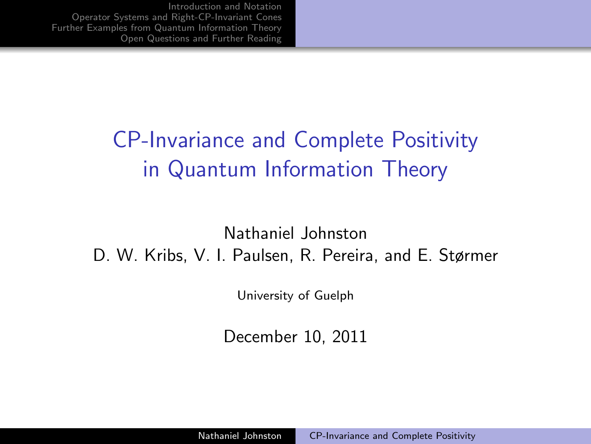# CP-Invariance and Complete Positivity in Quantum Information Theory

Nathaniel Johnston D. W. Kribs, V. I. Paulsen, R. Pereira, and E. Størmer

University of Guelph

<span id="page-0-0"></span>December 10, 2011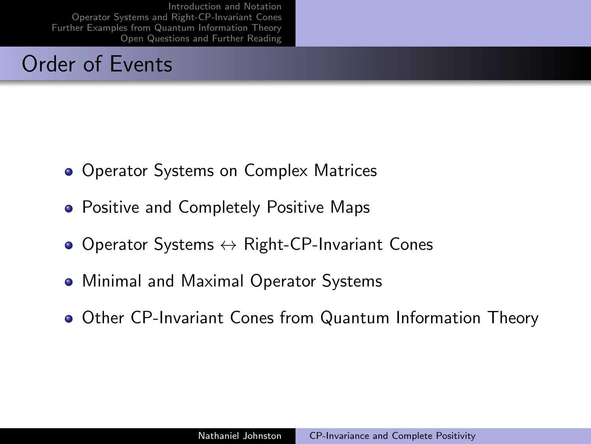#### Order of Events

- Operator Systems on Complex Matrices
- **Positive and Completely Positive Maps**
- $\bullet$  Operator Systems  $\leftrightarrow$  Right-CP-Invariant Cones
- Minimal and Maximal Operator Systems
- Other CP-Invariant Cones from Quantum Information Theory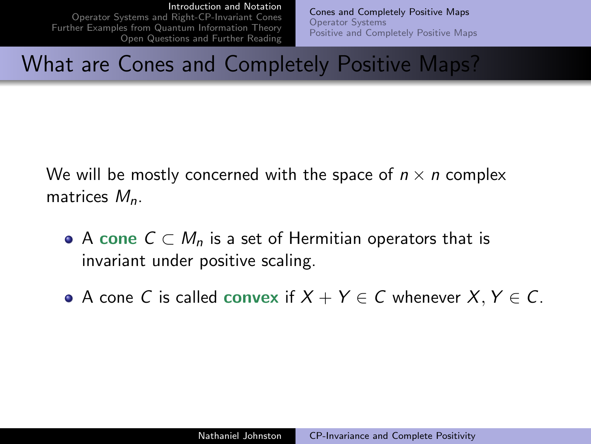[Operator Systems and Right-CP-Invariant Cones](#page-9-0) [Further Examples from Quantum Information Theory](#page-15-0) [Open Questions and Further Reading](#page-21-0) <span id="page-2-0"></span>[Cones and Completely Positive Maps](#page-2-0) [Operator Systems](#page-4-0) [Positive and Completely Positive Maps](#page-7-0)

### What are Cones and Completely Positive Maps?

We will be mostly concerned with the space of  $n \times n$  complex matrices  $M_n$ .

- A cone  $C \subset M_n$  is a set of Hermitian operators that is invariant under positive scaling.
- A cone C is called convex if  $X + Y \in C$  whenever  $X, Y \in C$ .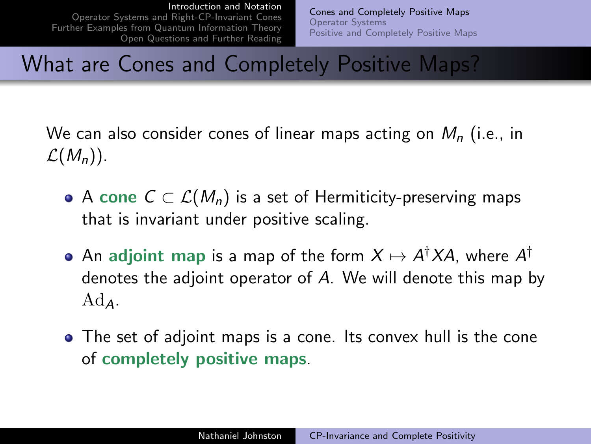[Operator Systems and Right-CP-Invariant Cones](#page-9-0) [Further Examples from Quantum Information Theory](#page-15-0) [Open Questions and Further Reading](#page-21-0) [Cones and Completely Positive Maps](#page-2-0) [Operator Systems](#page-4-0) [Positive and Completely Positive Maps](#page-7-0)

## What are Cones and Completely Positive Maps?

- We can also consider cones of linear maps acting on  $M_n$  (i.e., in  $\mathcal{L}(M_n)$ .
	- A cone  $C \subset \mathcal{L}(M_n)$  is a set of Hermiticity-preserving maps that is invariant under positive scaling.
	- An adjoint map is a map of the form  $X\mapsto A^{\dagger}XA$ , where  $A^{\dagger}$ denotes the adjoint operator of A. We will denote this map by  $Ad_{4}$ .
	- The set of adjoint maps is a cone. Its convex hull is the cone of completely positive maps.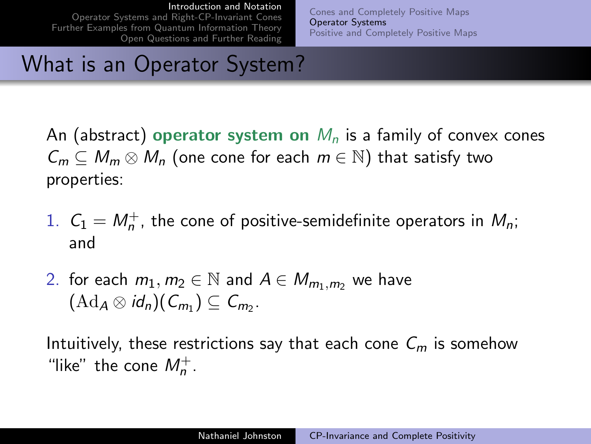[Operator Systems and Right-CP-Invariant Cones](#page-9-0) [Further Examples from Quantum Information Theory](#page-15-0) [Open Questions and Further Reading](#page-21-0) <span id="page-4-0"></span>[Cones and Completely Positive Maps](#page-2-0) [Operator Systems](#page-4-0) [Positive and Completely Positive Maps](#page-7-0)

# What is an Operator System?

An (abstract) operator system on  $M_n$  is a family of convex cones  $C_m \subset M_m \otimes M_n$  (one cone for each  $m \in \mathbb{N}$ ) that satisfy two properties:

- 1.  $C_1 = M_n^+$ , the cone of positive-semidefinite operators in  $M_n$ ; and
- 2. for each  $m_1, m_2 \in \mathbb{N}$  and  $A \in M_{m_1,m_2}$  we have  $(\mathrm{Ad}_A\otimes id_n)(C_{m_1})\subseteq C_{m_2}.$

Intuitively, these restrictions say that each cone  $C_m$  is somehow "like" the cone  $M_n^+$ .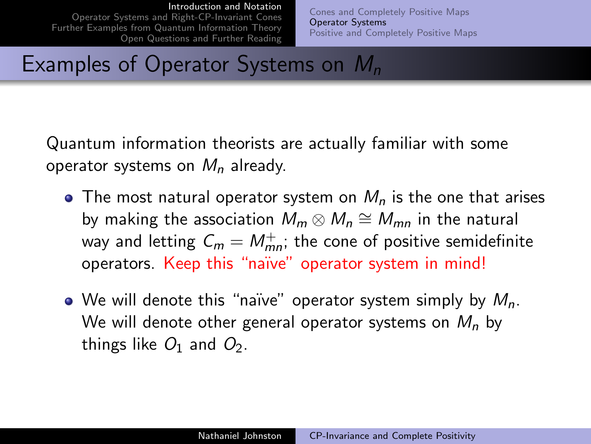[Operator Systems and Right-CP-Invariant Cones](#page-9-0) [Further Examples from Quantum Information Theory](#page-15-0) [Open Questions and Further Reading](#page-21-0) [Cones and Completely Positive Maps](#page-2-0) [Operator Systems](#page-4-0) [Positive and Completely Positive Maps](#page-7-0)

# Examples of Operator Systems on  $M_n$

Quantum information theorists are actually familiar with some operator systems on  $M_n$  already.

- The most natural operator system on  $M_n$  is the one that arises by making the association  $\bar{M}_m \otimes \bar{M}_n \cong \bar{M}_{mn}$  in the natural way and letting  $\mathcal{C}_m = \mathcal{M}_{mn}^+$ ; the cone of positive semidefinite operators. Keep this "naïve" operator system in mind!
- We will denote this "naïve" operator system simply by  $M_n$ . We will denote other general operator systems on  $M_n$  by things like  $O_1$  and  $O_2$ .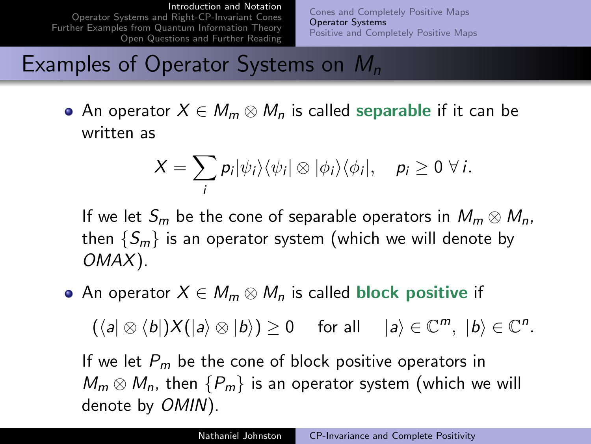[Operator Systems and Right-CP-Invariant Cones](#page-9-0) [Further Examples from Quantum Information Theory](#page-15-0) [Open Questions and Further Reading](#page-21-0) [Cones and Completely Positive Maps](#page-2-0) [Operator Systems](#page-4-0) [Positive and Completely Positive Maps](#page-7-0)

# Examples of Operator Systems on  $M_n$

• An operator  $X \in M_m \otimes M_n$  is called separable if it can be written as

$$
X=\sum_i p_i|\psi_i\rangle\langle\psi_i|\otimes|\phi_i\rangle\langle\phi_i|, \quad p_i\geq 0 \,\,\forall\,i.
$$

If we let  $S_m$  be the cone of separable operators in  $M_m \otimes M_n$ , then  $\{S_m\}$  is an operator system (which we will denote by OMAX).

• An operator  $X \in M_m \otimes M_n$  is called block positive if

 $(\langle a | \otimes \langle b |) X (|a \rangle \otimes |b \rangle) \ge 0$  for all  $|a \rangle \in \mathbb{C}^m$ ,  $|b \rangle \in \mathbb{C}^n$ .

If we let  $P_m$  be the cone of block positive operators in  $M_m \otimes M_n$ , then  ${P_m}$  is an operator system (which we will denote by OMIN).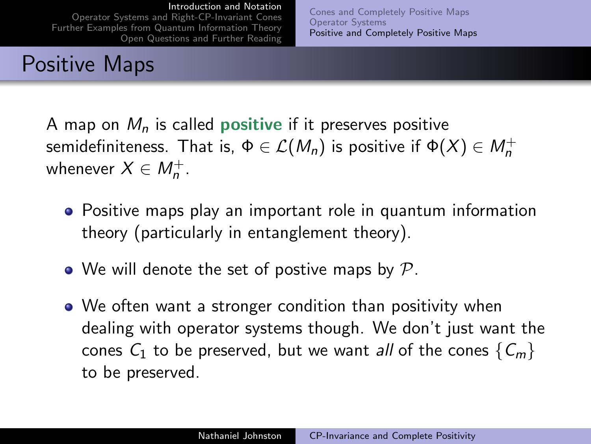[Operator Systems and Right-CP-Invariant Cones](#page-9-0) [Further Examples from Quantum Information Theory](#page-15-0) [Open Questions and Further Reading](#page-21-0)

# Positive Maps

<span id="page-7-0"></span>[Cones and Completely Positive Maps](#page-2-0) [Operator Systems](#page-4-0) [Positive and Completely Positive Maps](#page-7-0)

A map on  $M_n$  is called **positive** if it preserves positive semidefiniteness. That is,  $\Phi \in \mathcal{L}(M_n)$  is positive if  $\Phi(X) \in M_n^+$ whenever  $X \in M_n^+$ .

- Positive maps play an important role in quantum information theory (particularly in entanglement theory).
- We will denote the set of postive maps by  $\mathcal{P}.$
- We often want a stronger condition than positivity when dealing with operator systems though. We don't just want the cones  $C_1$  to be preserved, but we want all of the cones  $\{C_m\}$ to be preserved.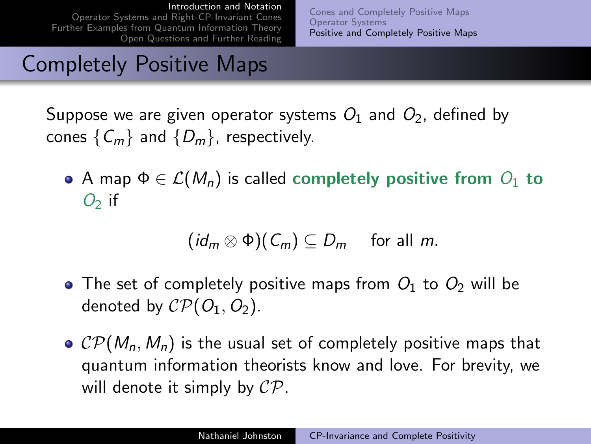[Operator Systems and Right-CP-Invariant Cones](#page-9-0) [Further Examples from Quantum Information Theory](#page-15-0) [Open Questions and Further Reading](#page-21-0) [Cones and Completely Positive Maps](#page-2-0) [Operator Systems](#page-4-0) [Positive and Completely Positive Maps](#page-7-0)

## Completely Positive Maps

Suppose we are given operator systems  $O_1$  and  $O_2$ , defined by cones  $\{C_m\}$  and  $\{D_m\}$ , respectively.

• A map  $\Phi \in \mathcal{L}(M_n)$  is called completely positive from  $O_1$  to  $O<sub>2</sub>$  if

$$
(id_m \otimes \Phi)(C_m) \subseteq D_m \quad \text{ for all } m.
$$

- The set of completely positive maps from  $O_1$  to  $O_2$  will be denoted by  $\mathcal{CP}(O_1, O_2)$ .
- $\circ$  CP( $M_n$ ,  $M_n$ ) is the usual set of completely positive maps that quantum information theorists know and love. For brevity, we will denote it simply by  $\mathcal{CP}$ .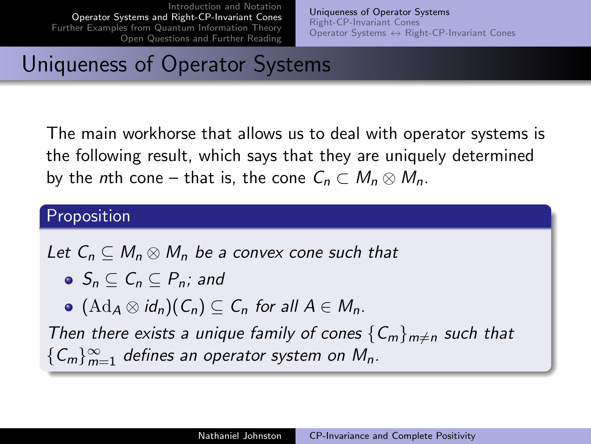<span id="page-9-0"></span>[Uniqueness of Operator Systems](#page-9-0) [Right-CP-Invariant Cones](#page-11-0) Operator Systems ↔ [Right-CP-Invariant Cones](#page-13-0)

# Uniqueness of Operator Systems

The main workhorse that allows us to deal with operator systems is the following result, which says that they are uniquely determined by the nth cone – that is, the cone  $C_n \subset M_n \otimes M_n$ .

#### Proposition

Let  $C_n \subseteq M_n \otimes M_n$  be a convex cone such that

- $\bullet$   $S_n \subset C_n \subset P_n$ ; and
- $\bullet$   $(\mathrm{Ad}_A \otimes id_n)(C_n) \subseteq C_n$  for all  $A \in M_n$ .

Then there exists a unique family of cones  ${C_m}_{m\neq n}$  such that  ${C_m}_{m=1}^{\infty}$  defines an operator system on  $M_n$ .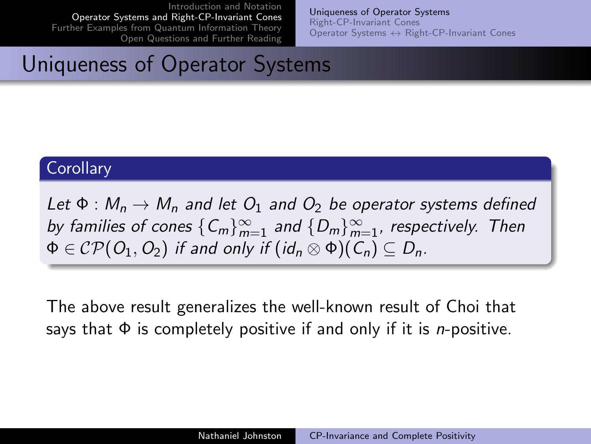[Uniqueness of Operator Systems](#page-9-0) [Right-CP-Invariant Cones](#page-11-0) Operator Systems ↔ [Right-CP-Invariant Cones](#page-13-0)

### Uniqueness of Operator Systems

#### **Corollary**

Let  $\Phi : M_n \to M_n$  and let  $O_1$  and  $O_2$  be operator systems defined by families of cones  ${C_m}_{m=1}^{\infty}$  and  ${D_m}_{m=1}^{\infty}$ , respectively. Then  $\Phi \in \mathcal{CP}(O_1, O_2)$  if and only if  $(id_n \otimes \Phi)(C_n) \subseteq D_n$ .

The above result generalizes the well-known result of Choi that says that  $\Phi$  is completely positive if and only if it is *n*-positive.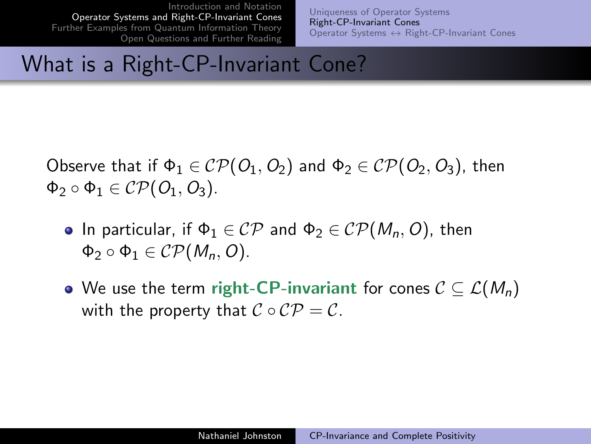<span id="page-11-0"></span>[Uniqueness of Operator Systems](#page-9-0) [Right-CP-Invariant Cones](#page-11-0) Operator Systems ↔ [Right-CP-Invariant Cones](#page-13-0)

#### What is a Right-CP-Invariant Cone?

Observe that if  $\Phi_1 \in \mathcal{CP}(O_1, O_2)$  and  $\Phi_2 \in \mathcal{CP}(O_2, O_3)$ , then  $\Phi_2 \circ \Phi_1 \in \mathcal{CP}(O_1, O_3).$ 

- **•** In particular, if  $\Phi_1 \in \mathcal{CP}$  and  $\Phi_2 \in \mathcal{CP}(M_n, O)$ , then  $\Phi_2 \circ \Phi_1 \in \mathcal{CP}(M_n, O).$
- We use the term right-CP-invariant for cones  $C \subseteq \mathcal{L}(M_n)$ with the property that  $C \circ C\mathcal{P} = \mathcal{C}$ .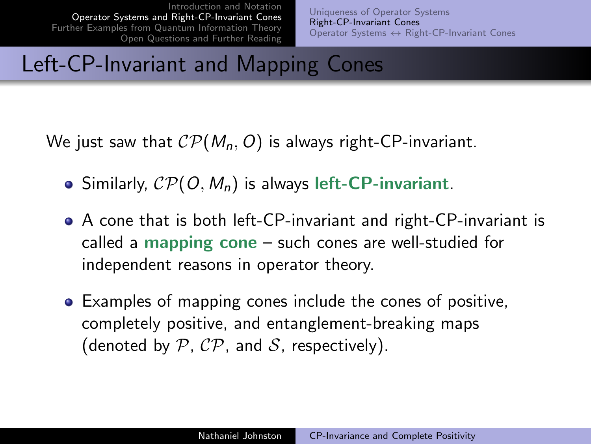[Uniqueness of Operator Systems](#page-9-0) [Right-CP-Invariant Cones](#page-11-0) Operator Systems ↔ [Right-CP-Invariant Cones](#page-13-0)

#### Left-CP-Invariant and Mapping Cones

We just saw that  $\mathcal{CP}(M_n, O)$  is always right-CP-invariant.

- Similarly,  $\mathcal{CP}(O, M_n)$  is always left-CP-invariant.
- A cone that is both left-CP-invariant and right-CP-invariant is called a mapping cone – such cones are well-studied for independent reasons in operator theory.
- Examples of mapping cones include the cones of positive, completely positive, and entanglement-breaking maps (denoted by  $P$ ,  $\mathcal{CP}$ , and  $\mathcal{S}$ , respectively).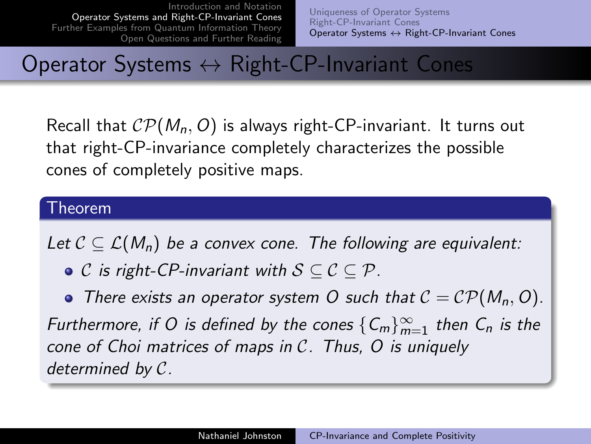<span id="page-13-0"></span>[Uniqueness of Operator Systems](#page-9-0) [Right-CP-Invariant Cones](#page-11-0) Operator Systems ↔ [Right-CP-Invariant Cones](#page-13-0)

### Operator Systems ↔ Right-CP-Invariant Cones

Recall that  $\mathcal{CP}(M_n, O)$  is always right-CP-invariant. It turns out that right-CP-invariance completely characterizes the possible cones of completely positive maps.

#### Theorem

Let  $C \subseteq \mathcal{L}(M_n)$  be a convex cone. The following are equivalent:

 $\bullet$  C is right-CP-invariant with  $S \subseteq C \subseteq P$ .

• There exists an operator system O such that  $C = \mathcal{CP}(M_n, O)$ . Furthermore, if O is defined by the cones  $\{C_m\}_{m=1}^{\infty}$  then  $C_n$  is the cone of Choi matrices of maps in C. Thus, O is uniquely determined by C.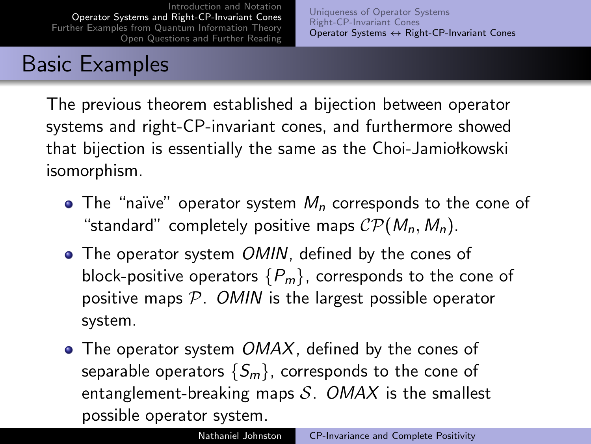[Uniqueness of Operator Systems](#page-9-0) [Right-CP-Invariant Cones](#page-11-0) Operator Systems ↔ [Right-CP-Invariant Cones](#page-13-0)

# Basic Examples

The previous theorem established a bijection between operator systems and right-CP-invariant cones, and furthermore showed that bijection is essentially the same as the Choi-Jamiołkowski isomorphism.

- The "naïve" operator system  $M<sub>n</sub>$  corresponds to the cone of "standard" completely positive maps  $\mathcal{CP}(M_n, M_n)$ .
- The operator system OMIN, defined by the cones of block-positive operators  ${P_m}$ , corresponds to the cone of positive maps  $P$ . OMIN is the largest possible operator system.
- $\bullet$  The operator system  $OMAX$ , defined by the cones of separable operators  $\{S_m\}$ , corresponds to the cone of entanglement-breaking maps  $S$ . OMAX is the smallest possible operator system.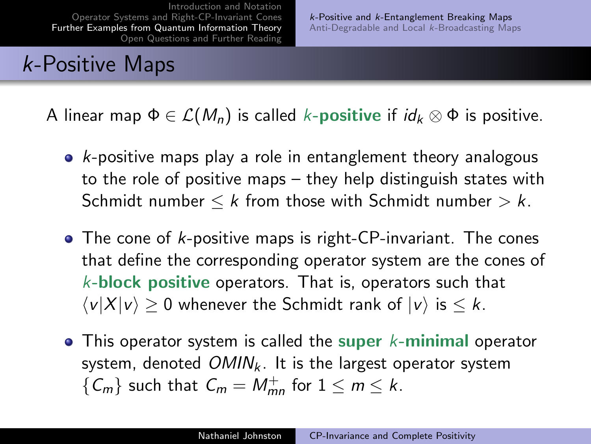# k-Positive Maps

A linear map  $\Phi \in \mathcal{L}(M_n)$  is called k-**positive** if  $id_k \otimes \Phi$  is positive.

- $\bullet$  k-positive maps play a role in entanglement theory analogous to the role of positive maps – they help distinguish states with Schmidt number  $\leq k$  from those with Schmidt number  $> k$ .
- The cone of k-positive maps is right-CP-invariant. The cones that define the corresponding operator system are the cones of  $k$ -block positive operators. That is, operators such that  $\langle v|X|v\rangle > 0$  whenever the Schmidt rank of  $|v\rangle$  is  $\leq k$ .
- <span id="page-15-0"></span> $\bullet$  This operator system is called the super k-minimal operator system, denoted  $OMIN_k$ . It is the largest operator system  ${C_m}$  such that  $C_m = M_{mn}^+$  for  $1 \leq m \leq k$ .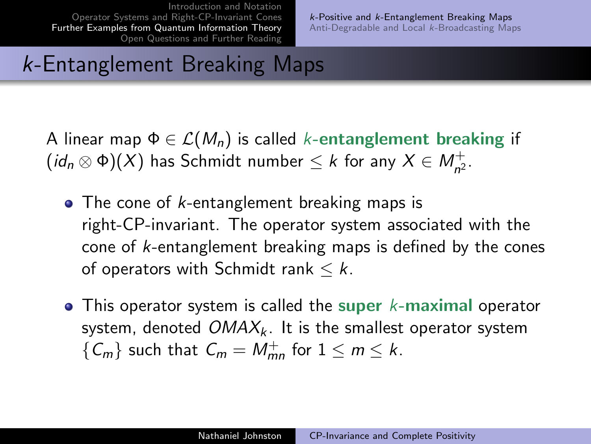# k-Entanglement Breaking Maps

A linear map  $\Phi \in \mathcal{L}(M_n)$  is called k-entanglement breaking if  $(id_n \otimes \Phi)(X)$  has Schmidt number  $\leq k$  for any  $X \in M_{n^2}^+$ .

- $\bullet$  The cone of *k*-entanglement breaking maps is right-CP-invariant. The operator system associated with the cone of k-entanglement breaking maps is defined by the cones of operators with Schmidt rank  $\leq k$ .
- $\bullet$  This operator system is called the super k-maximal operator system, denoted  $OMAX_k$ . It is the smallest operator system  ${C_m}$  such that  $C_m = M_{mn}^+$  for  $1 \le m \le k$ .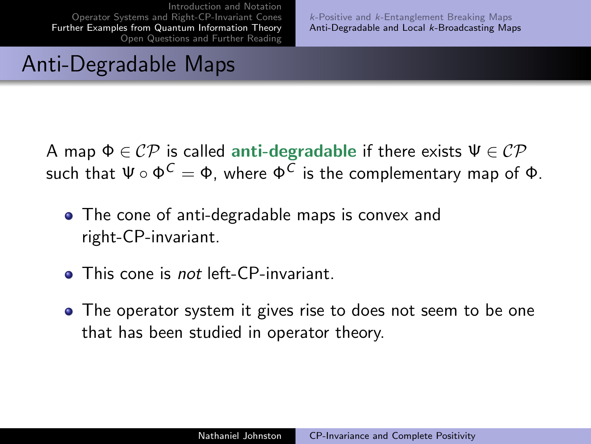<span id="page-17-0"></span>k-Positive and k[-Entanglement Breaking Maps](#page-15-0) [Anti-Degradable and Local](#page-17-0) k-Broadcasting Maps

# Anti-Degradable Maps

A map  $\Phi \in \mathcal{CP}$  is called anti-degradable if there exists  $\Psi \in \mathcal{CP}$ such that  $\Psi\circ\Phi^{\textstyle\mathsf{C}}=\Phi$ , where  $\Phi^{\textstyle\mathsf{C}}$  is the complementary map of  $\Phi$ .

- The cone of anti-degradable maps is convex and right-CP-invariant.
- **This cone is not left-CP-invariant.**
- The operator system it gives rise to does not seem to be one that has been studied in operator theory.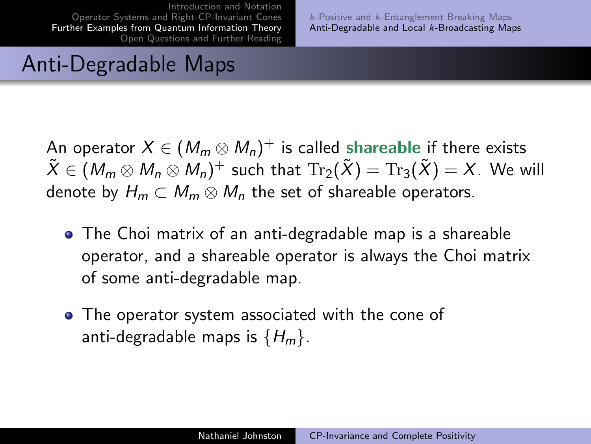k-Positive and k[-Entanglement Breaking Maps](#page-15-0) [Anti-Degradable and Local](#page-17-0) k-Broadcasting Maps

# Anti-Degradable Maps

An operator  $X\in (M_m\otimes M_n)^+$  is called shareable if there exists  $\tilde{X}\in (M_m\otimes M_n\otimes M_n)^+$  such that  $\mathrm{Tr}_2(\tilde{X})=\mathrm{Tr}_3(\tilde{X})=X.$  We will denote by  $H_m \subset M_m \otimes M_n$  the set of shareable operators.

- The Choi matrix of an anti-degradable map is a shareable operator, and a shareable operator is always the Choi matrix of some anti-degradable map.
- The operator system associated with the cone of anti-degradable maps is  ${H_m}$ .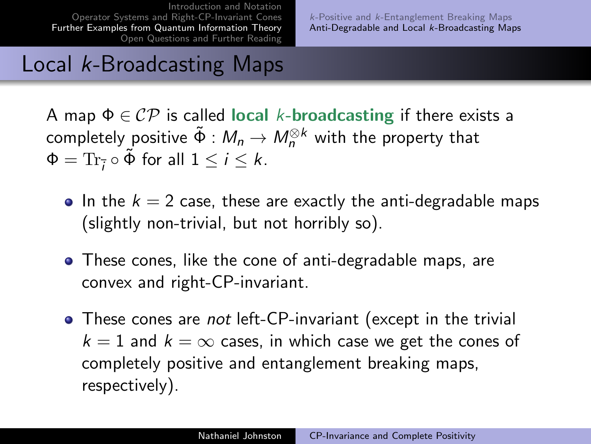k-Positive and k[-Entanglement Breaking Maps](#page-15-0) [Anti-Degradable and Local](#page-17-0) k-Broadcasting Maps

### Local k-Broadcasting Maps

A map  $\Phi \in \mathcal{CP}$  is called local k-broadcasting if there exists a completely positive  $\tilde{\Phi}:M_n\to M_n^{\otimes k}$  with the property that  $\Phi = \text{Tr}_{\overline{i}} \circ \tilde{\Phi}$  for all  $1 \leq i \leq k$ .

- In the  $k = 2$  case, these are exactly the anti-degradable maps (slightly non-trivial, but not horribly so).
- These cones, like the cone of anti-degradable maps, are convex and right-CP-invariant.
- These cones are *not* left-CP-invariant (except in the trivial  $k = 1$  and  $k = \infty$  cases, in which case we get the cones of completely positive and entanglement breaking maps, respectively).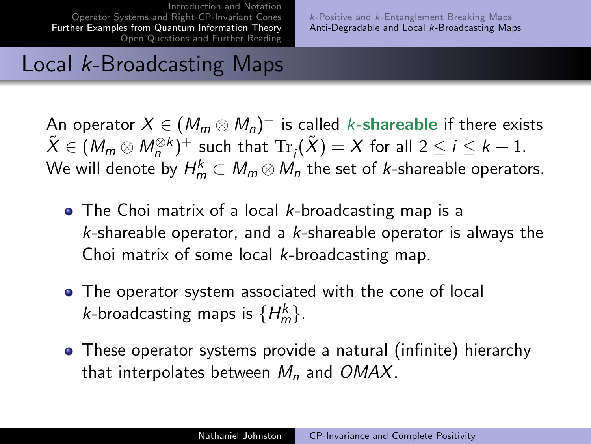k-Positive and k[-Entanglement Breaking Maps](#page-15-0) [Anti-Degradable and Local](#page-17-0) k-Broadcasting Maps

# Local k-Broadcasting Maps

An operator  $X\in (M_m\otimes M_n)^+$  is called *k-*shareable if there exists  $\tilde{X} \in (M_m \otimes M_n^{\otimes k})^+$  such that  $\text{Tr}_{\overline{j}}(\tilde{X}) = X$  for all  $2 \leq i \leq k+1$ . We will denote by  $H_m^k\subset M_m\mathop{\otimes} M_n$  the set of *k-*shareable operators.

- $\bullet$  The Choi matrix of a local *k*-broadcasting map is a  $k$ -shareable operator, and a  $k$ -shareable operator is always the Choi matrix of some local k-broadcasting map.
- The operator system associated with the cone of local *k*-broadcasting maps is  $\{H_m^k\}$ .
- These operator systems provide a natural (infinite) hierarchy that interpolates between  $M_n$  and OMAX.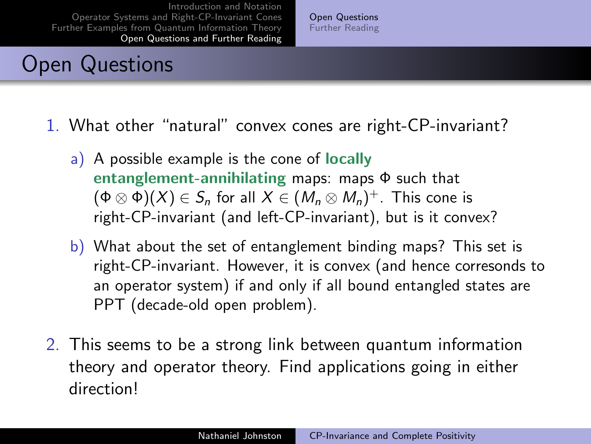# Open Questions

<span id="page-21-0"></span>[Open Questions](#page-21-0) [Further Reading](#page-22-0)

- 1. What other "natural" convex cones are right-CP-invariant?
	- a) A possible example is the cone of locally entanglement-annihilating maps: maps  $\Phi$  such that  $(\Phi\otimes\Phi)(X)\in\mathcal S_n$  for all  $X\in (M_n\otimes M_n)^+$ . This cone is right-CP-invariant (and left-CP-invariant), but is it convex?
	- b) What about the set of entanglement binding maps? This set is right-CP-invariant. However, it is convex (and hence corresonds to an operator system) if and only if all bound entangled states are PPT (decade-old open problem).
- 2. This seems to be a strong link between quantum information theory and operator theory. Find applications going in either direction!